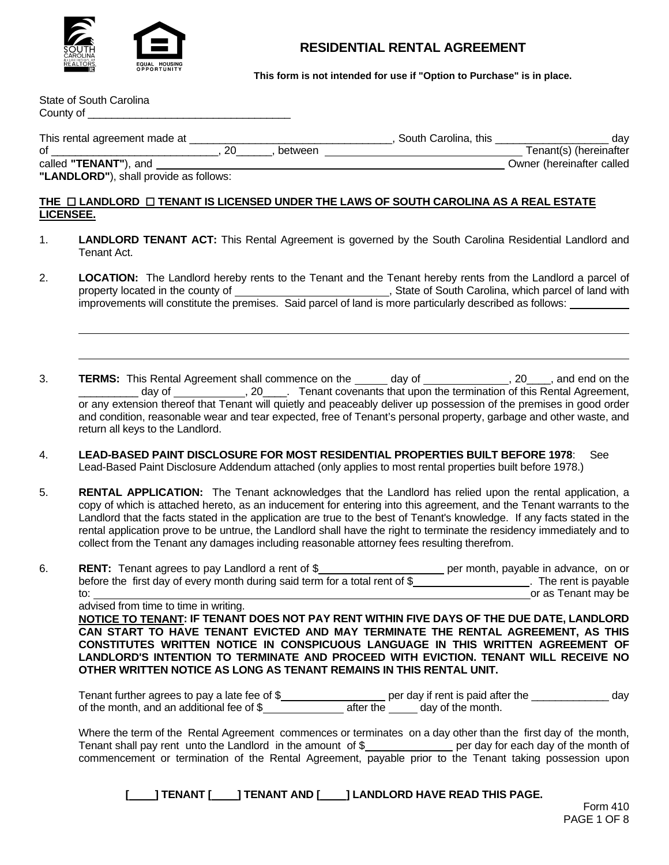

## **RESIDENTIAL RENTAL AGREEMENT**

**This form is not intended for use if "Option to Purchase" is in place.** 

| State of South Carolina<br>County of   |    |         |                      |                           |
|----------------------------------------|----|---------|----------------------|---------------------------|
| This rental agreement made at          |    |         | South Carolina, this | dav                       |
| оf                                     | 20 | between |                      | Tenant(s) (hereinafter    |
| called " <b>TENANT</b> "), and         |    |         |                      | Owner (hereinafter called |
| "LANDLORD"), shall provide as follows: |    |         |                      |                           |

## **THE LANDLORD TENANT IS LICENSED UNDER THE LAWS OF SOUTH CAROLINA AS A REAL ESTATE LICENSEE.**

- 1. **LANDLORD TENANT ACT:** This Rental Agreement is governed by the South Carolina Residential Landlord and Tenant Act.
- 2. **LOCATION:** The Landlord hereby rents to the Tenant and the Tenant hereby rents from the Landlord a parcel of property located in the county of \_\_\_\_\_\_\_\_\_\_\_\_\_\_\_\_\_\_\_\_\_\_\_\_\_\_\_\_\_\_\_, State of South Carolina, which parcel of land with improvements will constitute the premises. Said parcel of land is more particularly described as follows:
- 3. **TERMS:** This Rental Agreement shall commence on the day of 100 minutes of the state of the state on the day of  $\overline{\phantom{a}}$ , 20\_\_\_\_. Tenant covenants that upon the termination of this Rental Agreement, or any extension thereof that Tenant will quietly and peaceably deliver up possession of the premises in good order and condition, reasonable wear and tear expected, free of Tenant's personal property, garbage and other waste, and return all keys to the Landlord.
- 4. **LEAD-BASED PAINT DISCLOSURE FOR MOST RESIDENTIAL PROPERTIES BUILT BEFORE 1978**: See Lead-Based Paint Disclosure Addendum attached (only applies to most rental properties built before 1978.)
- 5. **RENTAL APPLICATION:** The Tenant acknowledges that the Landlord has relied upon the rental application, a copy of which is attached hereto, as an inducement for entering into this agreement, and the Tenant warrants to the Landlord that the facts stated in the application are true to the best of Tenant's knowledge. If any facts stated in the rental application prove to be untrue, the Landlord shall have the right to terminate the residency immediately and to collect from the Tenant any damages including reasonable attorney fees resulting therefrom.
- 6. RENT: Tenant agrees to pay Landlord a rent of \$\_\_\_\_\_\_\_\_\_\_\_\_\_\_\_\_\_\_\_\_\_\_\_\_\_\_\_ per month, payable in advance, on or before the first day of every month during said term for a total rent of \$\_\_\_\_\_\_\_\_\_\_\_\_\_\_\_\_\_\_\_. The rent is payable to: or as Tenant may be

advised from time to time in writing. **NOTICE TO TENANT: IF TENANT DOES NOT PAY RENT WITHIN FIVE DAYS OF THE DUE DATE, LANDLORD CAN START TO HAVE TENANT EVICTED AND MAY TERMINATE THE RENTAL AGREEMENT, AS THIS CONSTITUTES WRITTEN NOTICE IN CONSPICUOUS LANGUAGE IN THIS WRITTEN AGREEMENT OF LANDLORD'S INTENTION TO TERMINATE AND PROCEED WITH EVICTION. TENANT WILL RECEIVE NO OTHER WRITTEN NOTICE AS LONG AS TENANT REMAINS IN THIS RENTAL UNIT.** 

| Tenant further agrees to pay a late fee of \$_ | per day if rent is paid after the<br>dav |  |
|------------------------------------------------|------------------------------------------|--|
| of the month, and an additional fee of \$      | day of the month.<br>after the           |  |

 Where the term of the Rental Agreement commences or terminates on a day other than the first day of the month, Tenant shall pay rent unto the Landlord in the amount of  $\frac{1}{2}$  per day for each day of the month of commencement or termination of the Rental Agreement, payable prior to the Tenant taking possession upon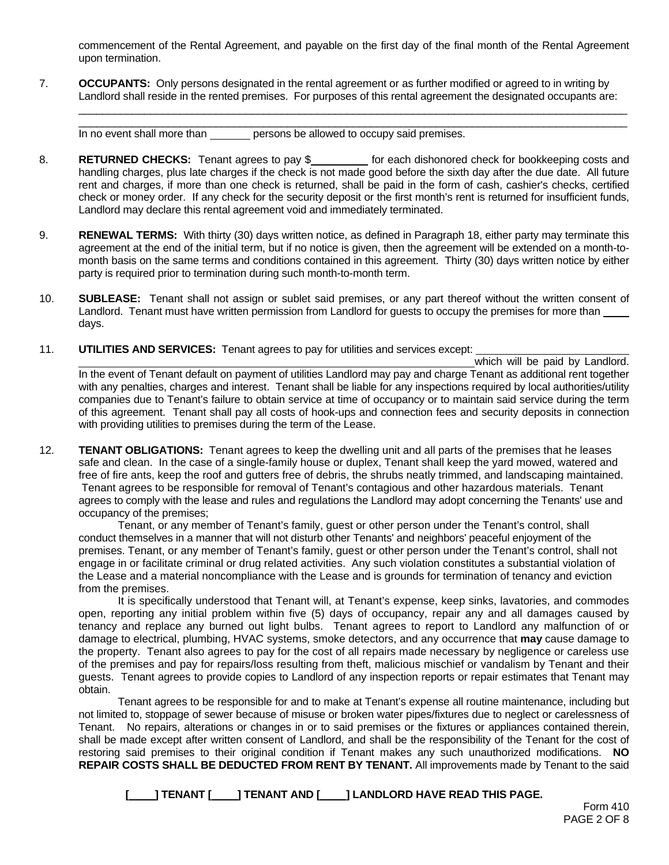commencement of the Rental Agreement, and payable on the first day of the final month of the Rental Agreement upon termination.

7. **OCCUPANTS:** Only persons designated in the rental agreement or as further modified or agreed to in writing by Landlord shall reside in the rented premises. For purposes of this rental agreement the designated occupants are:

 $\mathcal{L}_\mathcal{L} = \mathcal{L}_\mathcal{L} = \mathcal{L}_\mathcal{L} = \mathcal{L}_\mathcal{L} = \mathcal{L}_\mathcal{L} = \mathcal{L}_\mathcal{L} = \mathcal{L}_\mathcal{L} = \mathcal{L}_\mathcal{L} = \mathcal{L}_\mathcal{L} = \mathcal{L}_\mathcal{L} = \mathcal{L}_\mathcal{L} = \mathcal{L}_\mathcal{L} = \mathcal{L}_\mathcal{L} = \mathcal{L}_\mathcal{L} = \mathcal{L}_\mathcal{L} = \mathcal{L}_\mathcal{L} = \mathcal{L}_\mathcal{L}$  $\mathcal{L} = \{ \mathcal{L} = \{ \mathcal{L} = \mathcal{L} \} \cup \{ \mathcal{L} = \{ \mathcal{L} = \mathcal{L} \} \cup \{ \mathcal{L} = \{ \mathcal{L} = \mathcal{L} \} \cup \{ \mathcal{L} = \{ \mathcal{L} = \mathcal{L} \} \cup \{ \mathcal{L} = \{ \mathcal{L} = \mathcal{L} \} \cup \{ \mathcal{L} = \{ \mathcal{L} = \mathcal{L} \} \cup \{ \mathcal{L} = \{ \mathcal{L} = \mathcal{L} \} \cup \{ \mathcal{L} = \{ \mathcal{L}$ 

In no event shall more than persons be allowed to occupy said premises.

- 8. **RETURNED CHECKS:** Tenant agrees to pay \$ for each dishonored check for bookkeeping costs and handling charges, plus late charges if the check is not made good before the sixth day after the due date. All future rent and charges, if more than one check is returned, shall be paid in the form of cash, cashier's checks, certified check or money order. If any check for the security deposit or the first month's rent is returned for insufficient funds, Landlord may declare this rental agreement void and immediately terminated.
- 9. **RENEWAL TERMS:** With thirty (30) days written notice, as defined in Paragraph 18, either party may terminate this agreement at the end of the initial term, but if no notice is given, then the agreement will be extended on a month-tomonth basis on the same terms and conditions contained in this agreement. Thirty (30) days written notice by either party is required prior to termination during such month-to-month term.
- 10. **SUBLEASE:** Tenant shall not assign or sublet said premises, or any part thereof without the written consent of Landlord. Tenant must have written permission from Landlord for guests to occupy the premises for more than days.
- 11. **UTILITIES AND SERVICES:** Tenant agrees to pay for utilities and services except:

 which will be paid by Landlord. In the event of Tenant default on payment of utilities Landlord may pay and charge Tenant as additional rent together with any penalties, charges and interest. Tenant shall be liable for any inspections required by local authorities/utility companies due to Tenant's failure to obtain service at time of occupancy or to maintain said service during the term of this agreement. Tenant shall pay all costs of hook-ups and connection fees and security deposits in connection with providing utilities to premises during the term of the Lease.

12. **TENANT OBLIGATIONS:** Tenant agrees to keep the dwelling unit and all parts of the premises that he leases safe and clean. In the case of a single-family house or duplex, Tenant shall keep the yard mowed, watered and free of fire ants, keep the roof and gutters free of debris, the shrubs neatly trimmed, and landscaping maintained. Tenant agrees to be responsible for removal of Tenant's contagious and other hazardous materials. Tenant agrees to comply with the lease and rules and regulations the Landlord may adopt concerning the Tenants' use and occupancy of the premises;

Tenant, or any member of Tenant's family, guest or other person under the Tenant's control, shall conduct themselves in a manner that will not disturb other Tenants' and neighbors' peaceful enjoyment of the premises. Tenant, or any member of Tenant's family, guest or other person under the Tenant's control, shall not engage in or facilitate criminal or drug related activities. Any such violation constitutes a substantial violation of the Lease and a material noncompliance with the Lease and is grounds for termination of tenancy and eviction from the premises.

It is specifically understood that Tenant will, at Tenant's expense, keep sinks, lavatories, and commodes open, reporting any initial problem within five (5) days of occupancy, repair any and all damages caused by tenancy and replace any burned out light bulbs. Tenant agrees to report to Landlord any malfunction of or damage to electrical, plumbing, HVAC systems, smoke detectors, and any occurrence that **may** cause damage to the property. Tenant also agrees to pay for the cost of all repairs made necessary by negligence or careless use of the premises and pay for repairs/loss resulting from theft, malicious mischief or vandalism by Tenant and their guests. Tenant agrees to provide copies to Landlord of any inspection reports or repair estimates that Tenant may obtain.

 Tenant agrees to be responsible for and to make at Tenant's expense all routine maintenance, including but not limited to, stoppage of sewer because of misuse or broken water pipes/fixtures due to neglect or carelessness of Tenant. No repairs, alterations or changes in or to said premises or the fixtures or appliances contained therein, shall be made except after written consent of Landlord, and shall be the responsibility of the Tenant for the cost of restoring said premises to their original condition if Tenant makes any such unauthorized modifications. **NO REPAIR COSTS SHALL BE DEDUCTED FROM RENT BY TENANT.** All improvements made by Tenant to the said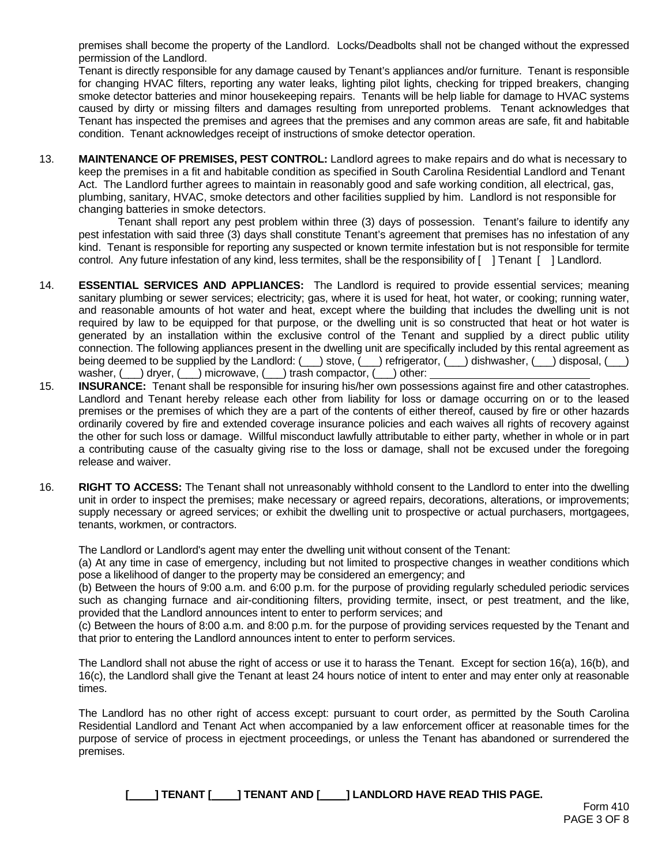premises shall become the property of the Landlord. Locks/Deadbolts shall not be changed without the expressed permission of the Landlord.

 Tenant is directly responsible for any damage caused by Tenant's appliances and/or furniture. Tenant is responsible for changing HVAC filters, reporting any water leaks, lighting pilot lights, checking for tripped breakers, changing smoke detector batteries and minor housekeeping repairs. Tenants will be help liable for damage to HVAC systems caused by dirty or missing filters and damages resulting from unreported problems. Tenant acknowledges that Tenant has inspected the premises and agrees that the premises and any common areas are safe, fit and habitable condition. Tenant acknowledges receipt of instructions of smoke detector operation.

13. **MAINTENANCE OF PREMISES, PEST CONTROL:** Landlord agrees to make repairs and do what is necessary to keep the premises in a fit and habitable condition as specified in South Carolina Residential Landlord and Tenant Act. The Landlord further agrees to maintain in reasonably good and safe working condition, all electrical, gas, plumbing, sanitary, HVAC, smoke detectors and other facilities supplied by him. Landlord is not responsible for changing batteries in smoke detectors.

 Tenant shall report any pest problem within three (3) days of possession. Tenant's failure to identify any pest infestation with said three (3) days shall constitute Tenant's agreement that premises has no infestation of any kind. Tenant is responsible for reporting any suspected or known termite infestation but is not responsible for termite control. Any future infestation of any kind, less termites, shall be the responsibility of [ ] Tenant [ ] Landlord.

- 14. **ESSENTIAL SERVICES AND APPLIANCES:** The Landlord is required to provide essential services; meaning sanitary plumbing or sewer services; electricity; gas, where it is used for heat, hot water, or cooking; running water, and reasonable amounts of hot water and heat, except where the building that includes the dwelling unit is not required by law to be equipped for that purpose, or the dwelling unit is so constructed that heat or hot water is generated by an installation within the exclusive control of the Tenant and supplied by a direct public utility connection. The following appliances present in the dwelling unit are specifically included by this rental agreement as being deemed to be supplied by the Landlord: (\_\_\_) stove, (\_\_) refrigerator, (\_\_) dishwasher, (\_\_) disposal, (\_\_) washer, (  $\Box$ ) dryer, (  $\Box$ ) microwave, (  $\Box$ ) trash compactor, (  $\Box$ ) other:
- 15. **INSURANCE:** Tenant shall be responsible for insuring his/her own possessions against fire and other catastrophes. Landlord and Tenant hereby release each other from liability for loss or damage occurring on or to the leased premises or the premises of which they are a part of the contents of either thereof, caused by fire or other hazards ordinarily covered by fire and extended coverage insurance policies and each waives all rights of recovery against the other for such loss or damage. Willful misconduct lawfully attributable to either party, whether in whole or in part a contributing cause of the casualty giving rise to the loss or damage, shall not be excused under the foregoing release and waiver.
- 16. **RIGHT TO ACCESS:** The Tenant shall not unreasonably withhold consent to the Landlord to enter into the dwelling unit in order to inspect the premises; make necessary or agreed repairs, decorations, alterations, or improvements; supply necessary or agreed services; or exhibit the dwelling unit to prospective or actual purchasers, mortgagees, tenants, workmen, or contractors.

The Landlord or Landlord's agent may enter the dwelling unit without consent of the Tenant:

(a) At any time in case of emergency, including but not limited to prospective changes in weather conditions which pose a likelihood of danger to the property may be considered an emergency; and

(b) Between the hours of 9:00 a.m. and 6:00 p.m. for the purpose of providing regularly scheduled periodic services such as changing furnace and air-conditioning filters, providing termite, insect, or pest treatment, and the like, provided that the Landlord announces intent to enter to perform services; and

(c) Between the hours of 8:00 a.m. and 8:00 p.m. for the purpose of providing services requested by the Tenant and that prior to entering the Landlord announces intent to enter to perform services.

The Landlord shall not abuse the right of access or use it to harass the Tenant. Except for section 16(a), 16(b), and 16(c), the Landlord shall give the Tenant at least 24 hours notice of intent to enter and may enter only at reasonable times.

 The Landlord has no other right of access except: pursuant to court order, as permitted by the South Carolina Residential Landlord and Tenant Act when accompanied by a law enforcement officer at reasonable times for the purpose of service of process in ejectment proceedings, or unless the Tenant has abandoned or surrendered the premises.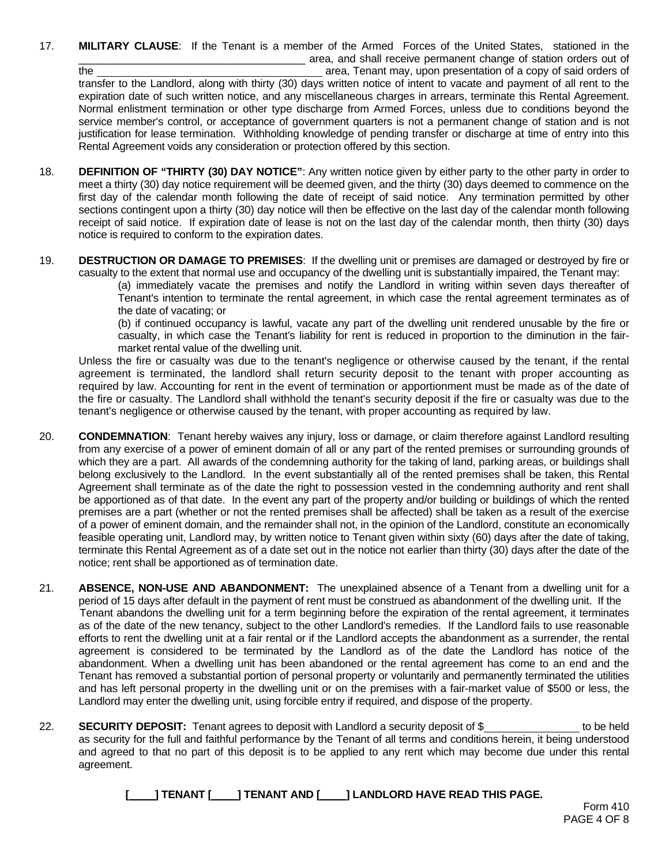17. **MILITARY CLAUSE**: If the Tenant is a member of the Armed Forces of the United States, stationed in the \_\_\_\_\_\_\_\_\_\_\_\_\_\_\_\_\_\_\_\_\_\_\_\_\_\_\_\_\_\_\_\_\_\_\_\_\_\_ area, and shall receive permanent change of station orders out of

the area, Tenant may, upon presentation of a copy of said orders of transfer to the Landlord, along with thirty (30) days written notice of intent to vacate and payment of all rent to the expiration date of such written notice, and any miscellaneous charges in arrears, terminate this Rental Agreement. Normal enlistment termination or other type discharge from Armed Forces, unless due to conditions beyond the service member's control, or acceptance of government quarters is not a permanent change of station and is not justification for lease termination. Withholding knowledge of pending transfer or discharge at time of entry into this Rental Agreement voids any consideration or protection offered by this section.

- 18. **DEFINITION OF "THIRTY (30) DAY NOTICE"**: Any written notice given by either party to the other party in order to meet a thirty (30) day notice requirement will be deemed given, and the thirty (30) days deemed to commence on the first day of the calendar month following the date of receipt of said notice. Any termination permitted by other sections contingent upon a thirty (30) day notice will then be effective on the last day of the calendar month following receipt of said notice. If expiration date of lease is not on the last day of the calendar month, then thirty (30) days notice is required to conform to the expiration dates.
- 19. **DESTRUCTION OR DAMAGE TO PREMISES**: If the dwelling unit or premises are damaged or destroyed by fire or casualty to the extent that normal use and occupancy of the dwelling unit is substantially impaired, the Tenant may:

 (a) immediately vacate the premises and notify the Landlord in writing within seven days thereafter of Tenant's intention to terminate the rental agreement, in which case the rental agreement terminates as of the date of vacating; or

 (b) if continued occupancy is lawful, vacate any part of the dwelling unit rendered unusable by the fire or casualty, in which case the Tenant's liability for rent is reduced in proportion to the diminution in the fairmarket rental value of the dwelling unit.

 Unless the fire or casualty was due to the tenant's negligence or otherwise caused by the tenant, if the rental agreement is terminated, the landlord shall return security deposit to the tenant with proper accounting as required by law. Accounting for rent in the event of termination or apportionment must be made as of the date of the fire or casualty. The Landlord shall withhold the tenant's security deposit if the fire or casualty was due to the tenant's negligence or otherwise caused by the tenant, with proper accounting as required by law.

- 20. **CONDEMNATION**: Tenant hereby waives any injury, loss or damage, or claim therefore against Landlord resulting from any exercise of a power of eminent domain of all or any part of the rented premises or surrounding grounds of which they are a part. All awards of the condemning authority for the taking of land, parking areas, or buildings shall belong exclusively to the Landlord. In the event substantially all of the rented premises shall be taken, this Rental Agreement shall terminate as of the date the right to possession vested in the condemning authority and rent shall be apportioned as of that date. In the event any part of the property and/or building or buildings of which the rented premises are a part (whether or not the rented premises shall be affected) shall be taken as a result of the exercise of a power of eminent domain, and the remainder shall not, in the opinion of the Landlord, constitute an economically feasible operating unit, Landlord may, by written notice to Tenant given within sixty (60) days after the date of taking, terminate this Rental Agreement as of a date set out in the notice not earlier than thirty (30) days after the date of the notice; rent shall be apportioned as of termination date.
- 21. **ABSENCE, NON-USE AND ABANDONMENT:** The unexplained absence of a Tenant from a dwelling unit for a period of 15 days after default in the payment of rent must be construed as abandonment of the dwelling unit. If the Tenant abandons the dwelling unit for a term beginning before the expiration of the rental agreement, it terminates as of the date of the new tenancy, subject to the other Landlord's remedies. If the Landlord fails to use reasonable efforts to rent the dwelling unit at a fair rental or if the Landlord accepts the abandonment as a surrender, the rental agreement is considered to be terminated by the Landlord as of the date the Landlord has notice of the abandonment. When a dwelling unit has been abandoned or the rental agreement has come to an end and the Tenant has removed a substantial portion of personal property or voluntarily and permanently terminated the utilities and has left personal property in the dwelling unit or on the premises with a fair-market value of \$500 or less, the Landlord may enter the dwelling unit, using forcible entry if required, and dispose of the property.
- 22. **SECURITY DEPOSIT:** Tenant agrees to deposit with Landlord a security deposit of \$ to be held as security for the full and faithful performance by the Tenant of all terms and conditions herein, it being understood and agreed to that no part of this deposit is to be applied to any rent which may become due under this rental agreement.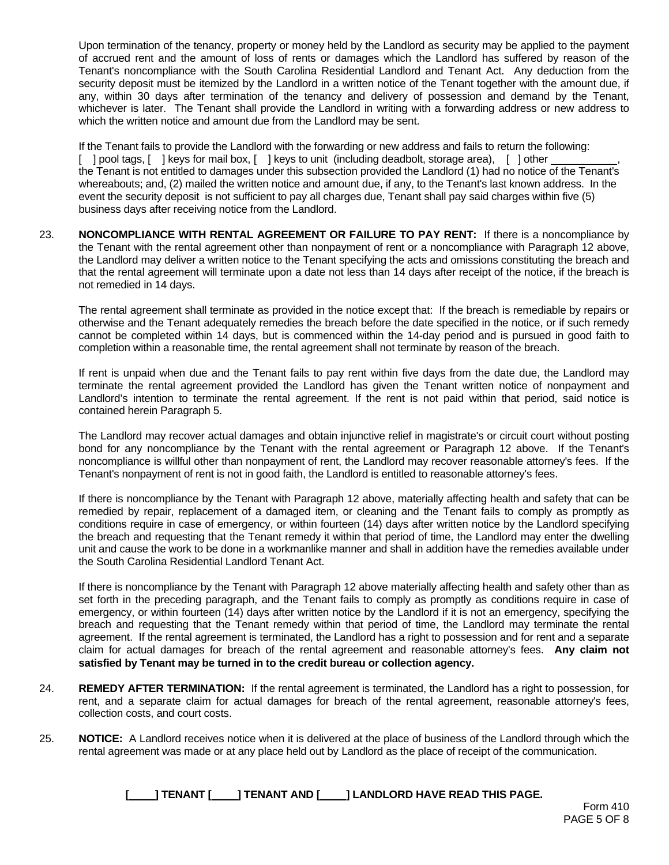Upon termination of the tenancy, property or money held by the Landlord as security may be applied to the payment of accrued rent and the amount of loss of rents or damages which the Landlord has suffered by reason of the Tenant's noncompliance with the South Carolina Residential Landlord and Tenant Act. Any deduction from the security deposit must be itemized by the Landlord in a written notice of the Tenant together with the amount due, if any, within 30 days after termination of the tenancy and delivery of possession and demand by the Tenant, whichever is later. The Tenant shall provide the Landlord in writing with a forwarding address or new address to which the written notice and amount due from the Landlord may be sent.

If the Tenant fails to provide the Landlord with the forwarding or new address and fails to return the following:  $\lceil$  | pool tags,  $\lceil$  | keys for mail box,  $\lceil$  | keys to unit (including deadbolt, storage area),  $\lceil$  | other the Tenant is not entitled to damages under this subsection provided the Landlord (1) had no notice of the Tenant's whereabouts; and, (2) mailed the written notice and amount due, if any, to the Tenant's last known address. In the event the security deposit is not sufficient to pay all charges due, Tenant shall pay said charges within five (5) business days after receiving notice from the Landlord.

23. **NONCOMPLIANCE WITH RENTAL AGREEMENT OR FAILURE TO PAY RENT:** If there is a noncompliance by the Tenant with the rental agreement other than nonpayment of rent or a noncompliance with Paragraph 12 above, the Landlord may deliver a written notice to the Tenant specifying the acts and omissions constituting the breach and that the rental agreement will terminate upon a date not less than 14 days after receipt of the notice, if the breach is not remedied in 14 days.

The rental agreement shall terminate as provided in the notice except that: If the breach is remediable by repairs or otherwise and the Tenant adequately remedies the breach before the date specified in the notice, or if such remedy cannot be completed within 14 days, but is commenced within the 14-day period and is pursued in good faith to completion within a reasonable time, the rental agreement shall not terminate by reason of the breach.

 If rent is unpaid when due and the Tenant fails to pay rent within five days from the date due, the Landlord may terminate the rental agreement provided the Landlord has given the Tenant written notice of nonpayment and Landlord's intention to terminate the rental agreement. If the rent is not paid within that period, said notice is contained herein Paragraph 5.

 The Landlord may recover actual damages and obtain injunctive relief in magistrate's or circuit court without posting bond for any noncompliance by the Tenant with the rental agreement or Paragraph 12 above. If the Tenant's noncompliance is willful other than nonpayment of rent, the Landlord may recover reasonable attorney's fees. If the Tenant's nonpayment of rent is not in good faith, the Landlord is entitled to reasonable attorney's fees.

 If there is noncompliance by the Tenant with Paragraph 12 above, materially affecting health and safety that can be remedied by repair, replacement of a damaged item, or cleaning and the Tenant fails to comply as promptly as conditions require in case of emergency, or within fourteen (14) days after written notice by the Landlord specifying the breach and requesting that the Tenant remedy it within that period of time, the Landlord may enter the dwelling unit and cause the work to be done in a workmanlike manner and shall in addition have the remedies available under the South Carolina Residential Landlord Tenant Act.

 If there is noncompliance by the Tenant with Paragraph 12 above materially affecting health and safety other than as set forth in the preceding paragraph, and the Tenant fails to comply as promptly as conditions require in case of emergency, or within fourteen (14) days after written notice by the Landlord if it is not an emergency, specifying the breach and requesting that the Tenant remedy within that period of time, the Landlord may terminate the rental agreement. If the rental agreement is terminated, the Landlord has a right to possession and for rent and a separate claim for actual damages for breach of the rental agreement and reasonable attorney's fees. **Any claim not satisfied by Tenant may be turned in to the credit bureau or collection agency.**

- 24. **REMEDY AFTER TERMINATION:** If the rental agreement is terminated, the Landlord has a right to possession, for rent, and a separate claim for actual damages for breach of the rental agreement, reasonable attorney's fees, collection costs, and court costs.
- 25. **NOTICE:** A Landlord receives notice when it is delivered at the place of business of the Landlord through which the rental agreement was made or at any place held out by Landlord as the place of receipt of the communication.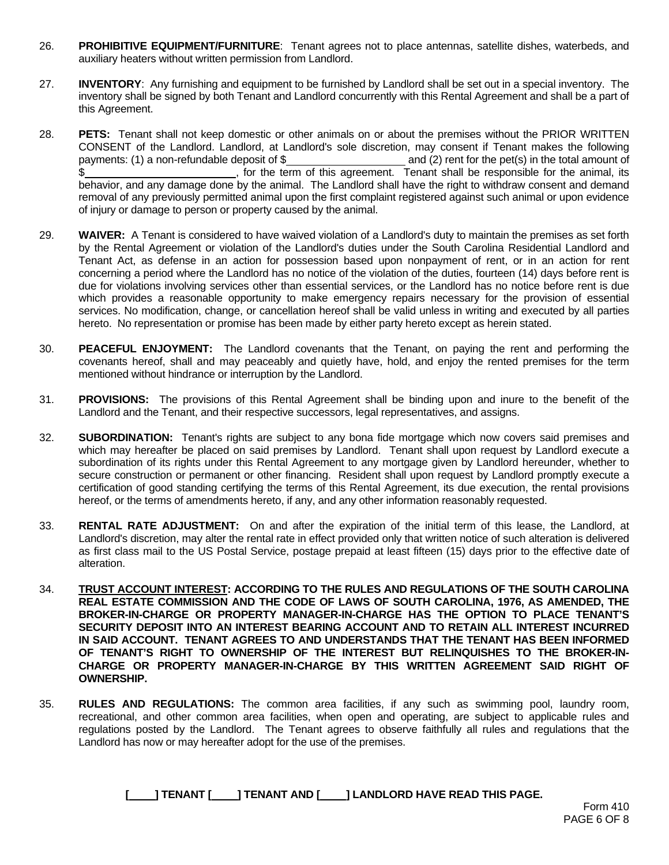- 26. **PROHIBITIVE EQUIPMENT/FURNITURE**: Tenant agrees not to place antennas, satellite dishes, waterbeds, and auxiliary heaters without written permission from Landlord.
- 27. **INVENTORY**: Any furnishing and equipment to be furnished by Landlord shall be set out in a special inventory. The inventory shall be signed by both Tenant and Landlord concurrently with this Rental Agreement and shall be a part of this Agreement.
- 28. **PETS:** Tenant shall not keep domestic or other animals on or about the premises without the PRIOR WRITTEN CONSENT of the Landlord. Landlord, at Landlord's sole discretion, may consent if Tenant makes the following payments: (1) a non-refundable deposit of \$ and (2) rent for the pet(s) in the total amount of \$ behavior, and any damage done by the animal. The Landlord shall have the right to withdraw consent and demand removal of any previously permitted animal upon the first complaint registered against such animal or upon evidence of injury or damage to person or property caused by the animal.
- 29. **WAIVER:** A Tenant is considered to have waived violation of a Landlord's duty to maintain the premises as set forth by the Rental Agreement or violation of the Landlord's duties under the South Carolina Residential Landlord and Tenant Act, as defense in an action for possession based upon nonpayment of rent, or in an action for rent concerning a period where the Landlord has no notice of the violation of the duties, fourteen (14) days before rent is due for violations involving services other than essential services, or the Landlord has no notice before rent is due which provides a reasonable opportunity to make emergency repairs necessary for the provision of essential services. No modification, change, or cancellation hereof shall be valid unless in writing and executed by all parties hereto. No representation or promise has been made by either party hereto except as herein stated.
- 30. **PEACEFUL ENJOYMENT:** The Landlord covenants that the Tenant, on paying the rent and performing the covenants hereof, shall and may peaceably and quietly have, hold, and enjoy the rented premises for the term mentioned without hindrance or interruption by the Landlord.
- 31. **PROVISIONS:** The provisions of this Rental Agreement shall be binding upon and inure to the benefit of the Landlord and the Tenant, and their respective successors, legal representatives, and assigns.
- 32. **SUBORDINATION:** Tenant's rights are subject to any bona fide mortgage which now covers said premises and which may hereafter be placed on said premises by Landlord. Tenant shall upon request by Landlord execute a subordination of its rights under this Rental Agreement to any mortgage given by Landlord hereunder, whether to secure construction or permanent or other financing. Resident shall upon request by Landlord promptly execute a certification of good standing certifying the terms of this Rental Agreement, its due execution, the rental provisions hereof, or the terms of amendments hereto, if any, and any other information reasonably requested.
- 33. **RENTAL RATE ADJUSTMENT:** On and after the expiration of the initial term of this lease, the Landlord, at Landlord's discretion, may alter the rental rate in effect provided only that written notice of such alteration is delivered as first class mail to the US Postal Service, postage prepaid at least fifteen (15) days prior to the effective date of alteration.
- 34. **TRUST ACCOUNT INTEREST: ACCORDING TO THE RULES AND REGULATIONS OF THE SOUTH CAROLINA REAL ESTATE COMMISSION AND THE CODE OF LAWS OF SOUTH CAROLINA, 1976, AS AMENDED, THE BROKER-IN-CHARGE OR PROPERTY MANAGER-IN-CHARGE HAS THE OPTION TO PLACE TENANT'S SECURITY DEPOSIT INTO AN INTEREST BEARING ACCOUNT AND TO RETAIN ALL INTEREST INCURRED IN SAID ACCOUNT. TENANT AGREES TO AND UNDERSTANDS THAT THE TENANT HAS BEEN INFORMED OF TENANT'S RIGHT TO OWNERSHIP OF THE INTEREST BUT RELINQUISHES TO THE BROKER-IN-CHARGE OR PROPERTY MANAGER-IN-CHARGE BY THIS WRITTEN AGREEMENT SAID RIGHT OF OWNERSHIP.**
- 35. **RULES AND REGULATIONS:** The common area facilities, if any such as swimming pool, laundry room, recreational, and other common area facilities, when open and operating, are subject to applicable rules and regulations posted by the Landlord. The Tenant agrees to observe faithfully all rules and regulations that the Landlord has now or may hereafter adopt for the use of the premises.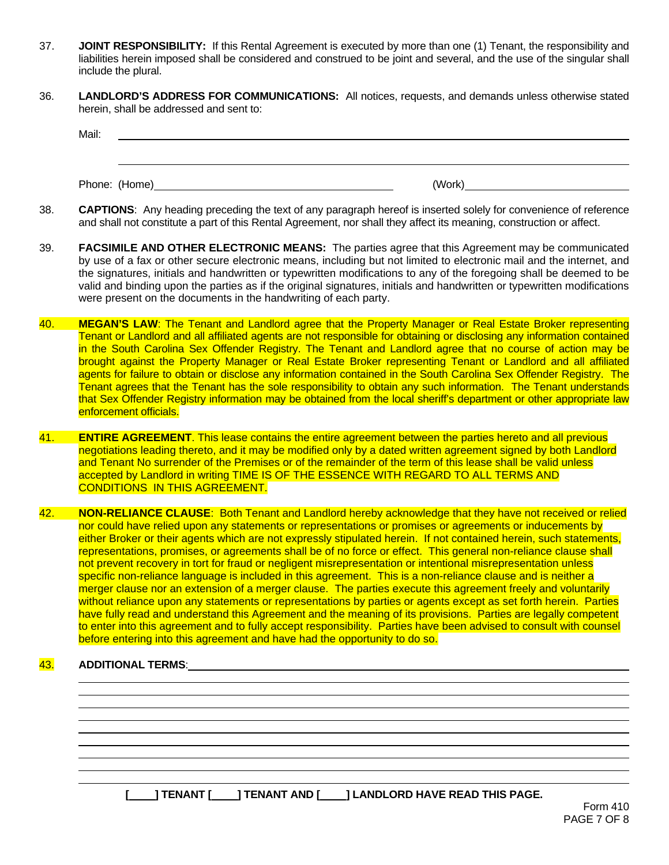- 37. **JOINT RESPONSIBILITY:** If this Rental Agreement is executed by more than one (1) Tenant, the responsibility and liabilities herein imposed shall be considered and construed to be joint and several, and the use of the singular shall include the plural.
- 36. **LANDLORD'S ADDRESS FOR COMMUNICATIONS:** All notices, requests, and demands unless otherwise stated herein, shall be addressed and sent to:

| Mail:         |        |
|---------------|--------|
|               |        |
|               |        |
| Phone: (Home) | (Work) |

- 38. **CAPTIONS**: Any heading preceding the text of any paragraph hereof is inserted solely for convenience of reference and shall not constitute a part of this Rental Agreement, nor shall they affect its meaning, construction or affect.
- 39. **FACSIMILE AND OTHER ELECTRONIC MEANS:** The parties agree that this Agreement may be communicated by use of a fax or other secure electronic means, including but not limited to electronic mail and the internet, and the signatures, initials and handwritten or typewritten modifications to any of the foregoing shall be deemed to be valid and binding upon the parties as if the original signatures, initials and handwritten or typewritten modifications were present on the documents in the handwriting of each party.
- 40. **MEGAN'S LAW**: The Tenant and Landlord agree that the Property Manager or Real Estate Broker representing Tenant or Landlord and all affiliated agents are not responsible for obtaining or disclosing any information contained in the South Carolina Sex Offender Registry. The Tenant and Landlord agree that no course of action may be brought against the Property Manager or Real Estate Broker representing Tenant or Landlord and all affiliated agents for failure to obtain or disclose any information contained in the South Carolina Sex Offender Registry. The Tenant agrees that the Tenant has the sole responsibility to obtain any such information. The Tenant understands that Sex Offender Registry information may be obtained from the local sheriff's department or other appropriate law enforcement officials.
- 41. **ENTIRE AGREEMENT**. This lease contains the entire agreement between the parties hereto and all previous negotiations leading thereto, and it may be modified only by a dated written agreement signed by both Landlord and Tenant No surrender of the Premises or of the remainder of the term of this lease shall be valid unless accepted by Landlord in writing TIME IS OF THE ESSENCE WITH REGARD TO ALL TERMS AND CONDITIONS IN THIS AGREEMENT.
- 42. **NON-RELIANCE CLAUSE**: Both Tenant and Landlord hereby acknowledge that they have not received or relied nor could have relied upon any statements or representations or promises or agreements or inducements by either Broker or their agents which are not expressly stipulated herein. If not contained herein, such statements, representations, promises, or agreements shall be of no force or effect. This general non-reliance clause shall not prevent recovery in tort for fraud or negligent misrepresentation or intentional misrepresentation unless specific non-reliance language is included in this agreement. This is a non-reliance clause and is neither a merger clause nor an extension of a merger clause. The parties execute this agreement freely and voluntarily without reliance upon any statements or representations by parties or agents except as set forth herein. Parties have fully read and understand this Agreement and the meaning of its provisions. Parties are legally competent to enter into this agreement and to fully accept responsibility. Parties have been advised to consult with counsel before entering into this agreement and have had the opportunity to do so.

## 43. **ADDITIONAL TERMS**:

 $\overline{a}$